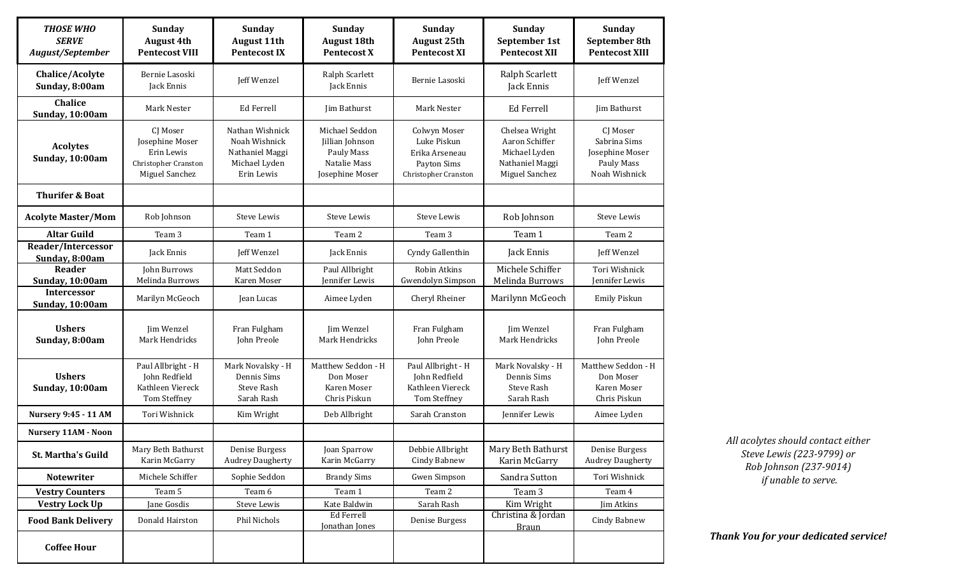| <b>THOSE WHO</b><br><b>SERVE</b><br>August/September | <b>Sunday</b><br><b>August 4th</b><br><b>Pentecost VIII</b>                         | <b>Sunday</b><br><b>August 11th</b><br><b>Pentecost IX</b>                         | Sunday<br><b>August 18th</b><br><b>Pentecost X</b>                                 | <b>Sunday</b><br><b>August 25th</b><br><b>Pentecost XI</b>                           | Sunday<br>September 1st<br><b>Pentecost XII</b>                                        | Sunday<br>September 8th<br><b>Pentecost XIII</b>                           |
|------------------------------------------------------|-------------------------------------------------------------------------------------|------------------------------------------------------------------------------------|------------------------------------------------------------------------------------|--------------------------------------------------------------------------------------|----------------------------------------------------------------------------------------|----------------------------------------------------------------------------|
| Chalice/Acolyte<br>Sunday, 8:00am                    | Bernie Lasoski<br>Jack Ennis                                                        | Jeff Wenzel                                                                        | Ralph Scarlett<br>Jack Ennis                                                       | Bernie Lasoski                                                                       | Ralph Scarlett<br>Jack Ennis                                                           | Jeff Wenzel                                                                |
| <b>Chalice</b><br>Sunday, 10:00am                    | <b>Mark Nester</b>                                                                  | Ed Ferrell                                                                         | Jim Bathurst                                                                       | <b>Mark Nester</b>                                                                   | Ed Ferrell                                                                             | Jim Bathurst                                                               |
| <b>Acolytes</b><br>Sunday, 10:00am                   | CI Moser<br>Josephine Moser<br>Erin Lewis<br>Christopher Cranston<br>Miguel Sanchez | Nathan Wishnick<br>Noah Wishnick<br>Nathaniel Maggi<br>Michael Lyden<br>Erin Lewis | Michael Seddon<br>Jillian Johnson<br>Pauly Mass<br>Natalie Mass<br>Josephine Moser | Colwyn Moser<br>Luke Piskun<br>Erika Arseneau<br>Payton Sims<br>Christopher Cranston | Chelsea Wright<br>Aaron Schiffer<br>Michael Lyden<br>Nathaniel Maggi<br>Miguel Sanchez | CI Moser<br>Sabrina Sims<br>Josephine Moser<br>Pauly Mass<br>Noah Wishnick |
| <b>Thurifer &amp; Boat</b>                           |                                                                                     |                                                                                    |                                                                                    |                                                                                      |                                                                                        |                                                                            |
| <b>Acolyte Master/Mom</b>                            | Rob Johnson                                                                         | <b>Steve Lewis</b>                                                                 | Steve Lewis                                                                        | <b>Steve Lewis</b>                                                                   | Rob Johnson                                                                            | Steve Lewis                                                                |
| <b>Altar Guild</b>                                   | Team 3                                                                              | Team 1                                                                             | Team 2                                                                             | Team 3                                                                               | Team 1                                                                                 | Team 2                                                                     |
| Reader/Intercessor<br>Sunday, 8:00am                 | Jack Ennis                                                                          | Jeff Wenzel                                                                        | Jack Ennis                                                                         | Cyndy Gallenthin                                                                     | Jack Ennis                                                                             | Jeff Wenzel                                                                |
| Reader<br>Sunday, 10:00am                            | John Burrows<br>Melinda Burrows                                                     | Matt Seddon<br>Karen Moser                                                         | Paul Allbright<br>Jennifer Lewis                                                   | Robin Atkins<br><b>Gwendolyn Simpson</b>                                             | Michele Schiffer<br>Melinda Burrows                                                    | Tori Wishnick<br>Jennifer Lewis                                            |
| <b>Intercessor</b><br>Sunday, 10:00am                | Marilyn McGeoch                                                                     | Jean Lucas                                                                         | Aimee Lyden                                                                        | Cheryl Rheiner                                                                       | Marilynn McGeoch                                                                       | Emily Piskun                                                               |
| <b>Ushers</b><br>Sunday, 8:00am                      | Jim Wenzel<br>Mark Hendricks                                                        | Fran Fulgham<br>John Preole                                                        | Jim Wenzel<br>Mark Hendricks                                                       | Fran Fulgham<br>John Preole                                                          | Jim Wenzel<br>Mark Hendricks                                                           | Fran Fulgham<br>John Preole                                                |
| <b>Ushers</b><br>Sunday, 10:00am                     | Paul Allbright - H<br>John Redfield<br>Kathleen Viereck<br>Tom Steffney             | Mark Novalsky - H<br>Dennis Sims<br><b>Steve Rash</b><br>Sarah Rash                | Matthew Seddon - H<br>Don Moser<br>Karen Moser<br>Chris Piskun                     | Paul Allbright - H<br>John Redfield<br>Kathleen Viereck<br>Tom Steffney              | Mark Novalsky - H<br>Dennis Sims<br>Steve Rash<br>Sarah Rash                           | Matthew Seddon - H<br>Don Moser<br>Karen Moser<br>Chris Piskun             |
| <b>Nursery 9:45 - 11 AM</b>                          | Tori Wishnick                                                                       | Kim Wright                                                                         | Deb Allbright                                                                      | Sarah Cranston                                                                       | Jennifer Lewis                                                                         | Aimee Lyden                                                                |
| <b>Nursery 11AM - Noon</b>                           |                                                                                     |                                                                                    |                                                                                    |                                                                                      |                                                                                        |                                                                            |
| <b>St. Martha's Guild</b>                            | Mary Beth Bathurst<br>Karin McGarry                                                 | Denise Burgess<br><b>Audrey Daugherty</b>                                          | Joan Sparrow<br>Karin McGarry                                                      | Debbie Allbright<br>Cindy Babnew                                                     | Mary Beth Bathurst<br>Karin McGarry                                                    | Denise Burgess<br><b>Audrey Daugherty</b>                                  |
| <b>Notewriter</b>                                    | Michele Schiffer                                                                    | Sophie Seddon                                                                      | <b>Brandy Sims</b>                                                                 | <b>Gwen Simpson</b>                                                                  | Sandra Sutton                                                                          | Tori Wishnick                                                              |
| <b>Vestry Counters</b>                               | Team 5                                                                              | Team 6                                                                             | Team 1                                                                             | Team 2                                                                               | Team 3                                                                                 | Team 4                                                                     |
| <b>Vestry Lock Up</b>                                | Jane Gosdis                                                                         | Steve Lewis                                                                        | Kate Baldwin                                                                       | Sarah Rash                                                                           | Kim Wright                                                                             | Jim Atkins                                                                 |
| <b>Food Bank Delivery</b>                            | Donald Hairston                                                                     | Phil Nichols                                                                       | Ed Ferrell<br>Jonathan Jones                                                       | Denise Burgess                                                                       | Christina & Jordan<br><b>Braun</b>                                                     | Cindy Babnew                                                               |
| <b>Coffee Hour</b>                                   |                                                                                     |                                                                                    |                                                                                    |                                                                                      |                                                                                        |                                                                            |

*All acolytes should contact either Steve Lewis (223-9799) or Rob Johnson (237-9014) if unable to serve.*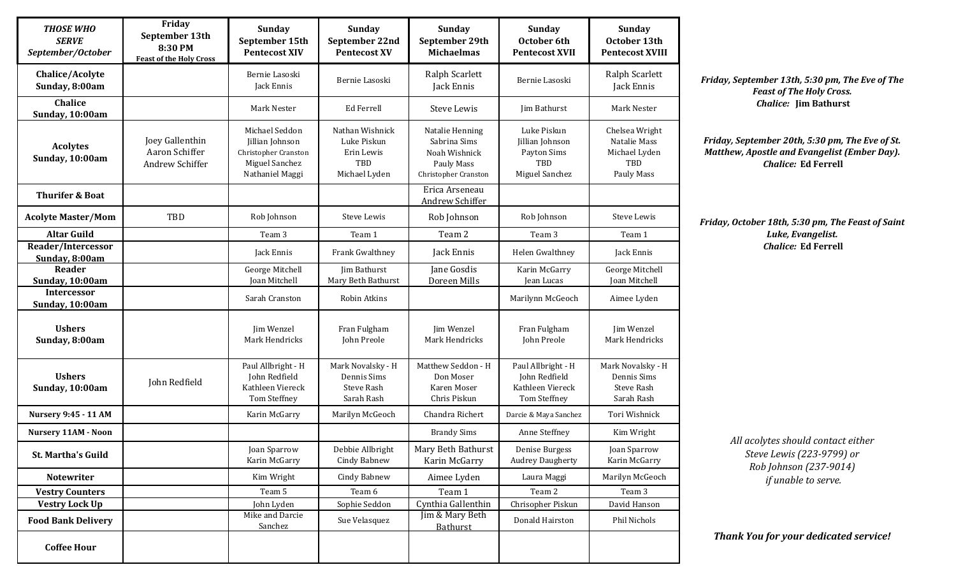| <b>THOSE WHO</b><br><b>SERVE</b><br>September/October | Friday<br>September 13th<br>8:30 PM<br><b>Feast of the Holy Cross</b> | Sunday<br>September 15th<br><b>Pentecost XIV</b>                                               | <b>Sunday</b><br>September 22nd<br><b>Pentecost XV</b>               | <b>Sunday</b><br>September 29th<br><b>Michaelmas</b>                                   | Sunday<br>October 6th<br><b>Pentecost XVII</b>                                | Sunday<br>October 13th<br><b>Pentecost XVIII</b>                     |
|-------------------------------------------------------|-----------------------------------------------------------------------|------------------------------------------------------------------------------------------------|----------------------------------------------------------------------|----------------------------------------------------------------------------------------|-------------------------------------------------------------------------------|----------------------------------------------------------------------|
| Chalice/Acolyte<br>Sunday, 8:00am                     |                                                                       | Bernie Lasoski<br>Jack Ennis                                                                   | Bernie Lasoski                                                       | Ralph Scarlett<br>Jack Ennis                                                           | Bernie Lasoski                                                                | Ralph Scarlett<br>Jack Ennis                                         |
| Chalice<br>Sunday, 10:00am                            |                                                                       | Mark Nester                                                                                    | <b>Ed Ferrell</b>                                                    | <b>Steve Lewis</b>                                                                     | Jim Bathurst                                                                  | Mark Nester                                                          |
| <b>Acolytes</b><br>Sunday, 10:00am                    | Joey Gallenthin<br>Aaron Schiffer<br>Andrew Schiffer                  | Michael Seddon<br>Jillian Johnson<br>Christopher Cranston<br>Miguel Sanchez<br>Nathaniel Maggi | Nathan Wishnick<br>Luke Piskun<br>Erin Lewis<br>TBD<br>Michael Lyden | Natalie Henning<br>Sabrina Sims<br>Noah Wishnick<br>Pauly Mass<br>Christopher Cranston | Luke Piskun<br>Jillian Johnson<br>Payton Sims<br><b>TBD</b><br>Miguel Sanchez | Chelsea Wright<br>Natalie Mass<br>Michael Lyden<br>TBD<br>Pauly Mass |
| <b>Thurifer &amp; Boat</b>                            |                                                                       |                                                                                                |                                                                      | Erica Arseneau<br>Andrew Schiffer                                                      |                                                                               |                                                                      |
| <b>Acolyte Master/Mom</b>                             | TBD                                                                   | Rob Johnson                                                                                    | <b>Steve Lewis</b>                                                   | Rob Johnson                                                                            | Rob Johnson                                                                   | Steve Lewis                                                          |
| <b>Altar Guild</b>                                    |                                                                       | Team 3                                                                                         | Team 1                                                               | Team 2                                                                                 | Team <sub>3</sub>                                                             | Team 1                                                               |
| <b>Reader/Intercessor</b><br>Sunday, 8:00am           |                                                                       | Jack Ennis                                                                                     | Frank Gwalthney                                                      | Jack Ennis                                                                             | Helen Gwalthney                                                               | Jack Ennis                                                           |
| Reader<br>Sunday, 10:00am                             |                                                                       | George Mitchell<br><b>Joan Mitchell</b>                                                        | <b>Jim Bathurst</b><br>Mary Beth Bathurst                            | Jane Gosdis<br>Doreen Mills                                                            | Karin McGarry<br>Jean Lucas                                                   | George Mitchell<br>Joan Mitchell                                     |
| <b>Intercessor</b><br>Sunday, 10:00am                 |                                                                       | Sarah Cranston                                                                                 | Robin Atkins                                                         |                                                                                        | Marilynn McGeoch                                                              | Aimee Lyden                                                          |
| <b>Ushers</b><br>Sunday, 8:00am                       |                                                                       | Jim Wenzel<br>Mark Hendricks                                                                   | Fran Fulgham<br>John Preole                                          | Jim Wenzel<br>Mark Hendricks                                                           | Fran Fulgham<br>John Preole                                                   | Jim Wenzel<br>Mark Hendricks                                         |
| <b>Ushers</b><br>Sunday, 10:00am                      | John Redfield                                                         | Paul Allbright - H<br>John Redfield<br>Kathleen Viereck<br>Tom Steffney                        | Mark Novalsky - H<br>Dennis Sims<br>Steve Rash<br>Sarah Rash         | Matthew Seddon - H<br>Don Moser<br>Karen Moser<br>Chris Piskun                         | Paul Allbright - H<br>John Redfield<br>Kathleen Viereck<br>Tom Steffney       | Mark Novalsky - H<br>Dennis Sims<br>Steve Rash<br>Sarah Rash         |
| <b>Nursery 9:45 - 11 AM</b>                           |                                                                       | Karin McGarry                                                                                  | Marilyn McGeoch                                                      | Chandra Richert                                                                        | Darcie & Maya Sanchez                                                         | Tori Wishnick                                                        |
| <b>Nursery 11AM - Noon</b>                            |                                                                       |                                                                                                |                                                                      | <b>Brandy Sims</b>                                                                     | Anne Steffney                                                                 | Kim Wright                                                           |
| <b>St. Martha's Guild</b>                             |                                                                       | Joan Sparrow<br>Karin McGarry                                                                  | Debbie Allbright<br><b>Cindy Babnew</b>                              | Mary Beth Bathurst<br>Karin McGarry                                                    | Denise Burgess<br><b>Audrey Daugherty</b>                                     | Joan Sparrow<br>Karin McGarry                                        |
| Notewriter                                            |                                                                       | Kim Wright                                                                                     | <b>Cindy Babnew</b>                                                  | Aimee Lyden                                                                            | Laura Maggi                                                                   | Marilyn McGeoch                                                      |
| <b>Vestry Counters</b>                                |                                                                       | Team 5                                                                                         | Team 6                                                               | Team 1                                                                                 | Team 2                                                                        | Team 3                                                               |
| <b>Vestry Lock Up</b>                                 |                                                                       | John Lyden                                                                                     | Sophie Seddon                                                        | Cynthia Gallenthin                                                                     | Chrisopher Piskun                                                             | David Hanson                                                         |
| <b>Food Bank Delivery</b>                             |                                                                       | Mike and Darcie<br>Sanchez                                                                     | Sue Velasquez                                                        | Jim & Mary Beth<br><b>Bathurst</b>                                                     | Donald Hairston                                                               | Phil Nichols                                                         |
| <b>Coffee Hour</b>                                    |                                                                       |                                                                                                |                                                                      |                                                                                        |                                                                               |                                                                      |

*Friday, September 13th, 5:30 pm, The Eve of The Feast of The Holy Cross. Chalice:* **Jim Bathurst**

*Friday, September 20th, 5:30 pm, The Eve of St. Matthew, Apostle and Evangelist (Ember Day). Chalice:* **Ed Ferrell**

*Friday, October 18th, 5:30 pm, The Feast of Saint Luke, Evangelist. Chalice:* **Ed Ferrell**

> *All acolytes should contact either Steve Lewis (223-9799) or Rob Johnson (237-9014) if unable to serve.*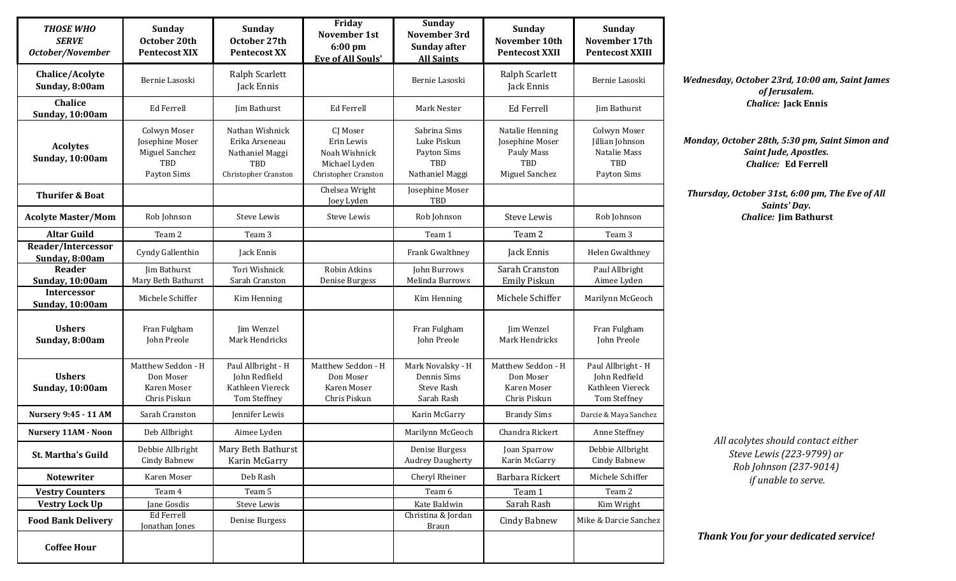| <b>THOSE WHO</b><br><b>SERVE</b><br>October/November | <b>Sunday</b><br>October 20th<br><b>Pentecost XIX</b>                   | <b>Sunday</b><br>October 27th<br><b>Pentecost XX</b>                                | Friday<br>November 1st<br>6:00 pm<br><b>Eve of All Souls'</b>                    | <b>Sunday</b><br>November 3rd<br><b>Sunday after</b><br><b>All Saints</b>   | Sunday<br>November 10th<br><b>Pentecost XXII</b>                                 | <b>Sunday</b><br>November 17th<br><b>Pentecost XXIII</b>                     |
|------------------------------------------------------|-------------------------------------------------------------------------|-------------------------------------------------------------------------------------|----------------------------------------------------------------------------------|-----------------------------------------------------------------------------|----------------------------------------------------------------------------------|------------------------------------------------------------------------------|
| Chalice/Acolyte<br>Sunday, 8:00am                    | Bernie Lasoski                                                          | Ralph Scarlett<br>Jack Ennis                                                        |                                                                                  | Bernie Lasoski                                                              | Ralph Scarlett<br>Jack Ennis                                                     | Bernie Lasoski                                                               |
| Chalice<br>Sunday, 10:00am                           | <b>Ed Ferrell</b>                                                       | Jim Bathurst                                                                        | Ed Ferrell                                                                       | Mark Nester                                                                 | Ed Ferrell                                                                       | Jim Bathurst                                                                 |
| <b>Acolytes</b><br>Sunday, 10:00am                   | Colwyn Moser<br>Josephine Moser<br>Miguel Sanchez<br>TBD<br>Payton Sims | Nathan Wishnick<br>Erika Arseneau<br>Nathaniel Maggi<br>TBD<br>Christopher Cranston | CJ Moser<br>Erin Lewis<br>Noah Wishnick<br>Michael Lyden<br>Christopher Cranston | Sabrina Sims<br>Luke Piskun<br>Payton Sims<br><b>TBD</b><br>Nathaniel Maggi | Natalie Henning<br>Josephine Moser<br>Pauly Mass<br><b>TBD</b><br>Miguel Sanchez | Colwyn Moser<br>Jillian Johnson<br>Natalie Mass<br><b>TBD</b><br>Payton Sims |
| <b>Thurifer &amp; Boat</b>                           |                                                                         |                                                                                     | Chelsea Wright<br>Joey Lyden                                                     | Josephine Moser<br>TBD                                                      |                                                                                  |                                                                              |
| <b>Acolyte Master/Mom</b>                            | Rob Johnson                                                             | Steve Lewis                                                                         | Steve Lewis                                                                      | Rob Johnson                                                                 | <b>Steve Lewis</b>                                                               | Rob Johnson                                                                  |
| <b>Altar Guild</b>                                   | Team 2                                                                  | Team 3                                                                              |                                                                                  | Team 1                                                                      | Team 2                                                                           | Team 3                                                                       |
| Reader/Intercessor<br>Sunday, 8:00am                 | Cyndy Gallenthin                                                        | Jack Ennis                                                                          |                                                                                  | Frank Gwalthney                                                             | Jack Ennis                                                                       | Helen Gwalthney                                                              |
| Reader                                               | Jim Bathurst<br>Mary Beth Bathurst                                      | Tori Wishnick<br>Sarah Cranston                                                     | Robin Atkins<br>Denise Burgess                                                   | John Burrows<br>Melinda Burrows                                             | Sarah Cranston<br><b>Emily Piskun</b>                                            | Paul Allbright<br>Aimee Lyden                                                |
| Sunday, 10:00am<br><b>Intercessor</b>                |                                                                         |                                                                                     |                                                                                  |                                                                             |                                                                                  |                                                                              |
| Sunday, 10:00am                                      | Michele Schiffer                                                        | Kim Henning                                                                         |                                                                                  | Kim Henning                                                                 | Michele Schiffer                                                                 | Marilynn McGeoch                                                             |
| <b>Ushers</b><br>Sunday, 8:00am                      | Fran Fulgham<br>John Preole                                             | Jim Wenzel<br>Mark Hendricks                                                        |                                                                                  | Fran Fulgham<br>John Preole                                                 | Jim Wenzel<br>Mark Hendricks                                                     | Fran Fulgham<br>John Preole                                                  |
| <b>Ushers</b><br>Sunday, 10:00am                     | Matthew Seddon - H<br>Don Moser<br>Karen Moser<br>Chris Piskun          | Paul Allbright - H<br>John Redfield<br>Kathleen Viereck<br>Tom Steffney             | Matthew Seddon - H<br>Don Moser<br>Karen Moser<br>Chris Piskun                   | Mark Novalsky - H<br>Dennis Sims<br><b>Steve Rash</b><br>Sarah Rash         | Matthew Seddon - H<br>Don Moser<br>Karen Moser<br>Chris Piskun                   | Paul Allbright - H<br>John Redfield<br>Kathleen Viereck<br>Tom Steffney      |
| <b>Nursery 9:45 - 11 AM</b>                          | Sarah Cranston                                                          | Jennifer Lewis                                                                      |                                                                                  | Karin McGarry                                                               | <b>Brandy Sims</b>                                                               | Darcie & Maya Sanchez                                                        |
| <b>Nursery 11AM - Noon</b>                           | Deb Allbright                                                           | Aimee Lyden                                                                         |                                                                                  | Marilynn McGeoch                                                            | Chandra Rickert                                                                  | Anne Steffney                                                                |
| St. Martha's Guild                                   | Debbie Allbright<br><b>Cindy Babnew</b>                                 | Mary Beth Bathurst<br>Karin McGarry                                                 |                                                                                  | Denise Burgess<br><b>Audrey Daugherty</b>                                   | Joan Sparrow<br>Karin McGarry                                                    | Debbie Allbright<br>Cindy Babnew                                             |
| <b>Notewriter</b>                                    | Karen Moser                                                             | Deb Rash                                                                            |                                                                                  | Cheryl Rheiner                                                              | Barbara Rickert                                                                  | Michele Schiffer                                                             |
| <b>Vestry Counters</b>                               | Team 4                                                                  | Team 5                                                                              |                                                                                  | Team 6                                                                      | Team 1                                                                           | Team 2                                                                       |
| <b>Vestry Lock Up</b>                                | Jane Gosdis                                                             | Steve Lewis                                                                         |                                                                                  | Kate Baldwin                                                                | Sarah Rash                                                                       | Kim Wright                                                                   |
| <b>Food Bank Delivery</b>                            | Ed Ferrell<br>Jonathan Jones                                            | Denise Burgess                                                                      |                                                                                  | Christina & Jordan<br><b>Braun</b>                                          | Cindy Babnew                                                                     | Mike & Darcie Sanchez                                                        |
| <b>Coffee Hour</b>                                   |                                                                         |                                                                                     |                                                                                  |                                                                             |                                                                                  |                                                                              |

*Wednesday, October 23rd, 10:00 am, Saint James of Jerusalem. Chalice:* **Jack Ennis**

*Monday, October 28th, 5:30 pm, Saint Simon and Saint Jude, Apostles. Chalice:* **Ed Ferrell**

*Thursday, October 31st, 6:00 pm, The Eve of All Saints' Day. Chalice:* **Jim Bathurst**

> *All acolytes should contact either Steve Lewis (223-9799) or Rob Johnson (237-9014) if unable to serve.*